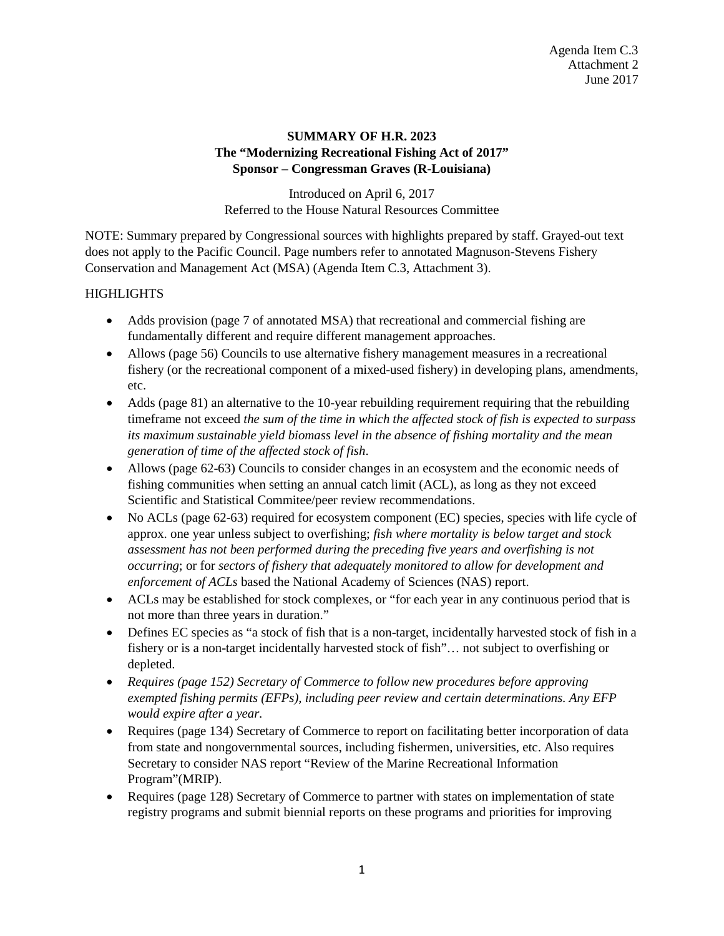# **SUMMARY OF H.R. 2023 The "Modernizing Recreational Fishing Act of 2017" Sponsor – Congressman Graves (R-Louisiana)**

Introduced on April 6, 2017 Referred to the House Natural Resources Committee

NOTE: Summary prepared by Congressional sources with highlights prepared by staff. Grayed-out text does not apply to the Pacific Council. Page numbers refer to annotated Magnuson-Stevens Fishery Conservation and Management Act (MSA) (Agenda Item C.3, Attachment 3).

#### **HIGHLIGHTS**

- Adds provision (page 7 of annotated MSA) that recreational and commercial fishing are fundamentally different and require different management approaches.
- Allows (page 56) Councils to use alternative fishery management measures in a recreational fishery (or the recreational component of a mixed-used fishery) in developing plans, amendments, etc.
- Adds (page 81) an alternative to the 10-year rebuilding requirement requiring that the rebuilding timeframe not exceed *the sum of the time in which the affected stock of fish is expected to surpass its maximum sustainable yield biomass level in the absence of fishing mortality and the mean generation of time of the affected stock of fish*.
- Allows (page 62-63) Councils to consider changes in an ecosystem and the economic needs of fishing communities when setting an annual catch limit (ACL), as long as they not exceed Scientific and Statistical Commitee/peer review recommendations.
- No ACLs (page 62-63) required for ecosystem component (EC) species, species with life cycle of approx. one year unless subject to overfishing; *fish where mortality is below target and stock assessment has not been performed during the preceding five years and overfishing is not occurring*; or for *sectors of fishery that adequately monitored to allow for development and enforcement of ACLs* based the National Academy of Sciences (NAS) report.
- ACLs may be established for stock complexes, or "for each year in any continuous period that is not more than three years in duration."
- Defines EC species as "a stock of fish that is a non-target, incidentally harvested stock of fish in a fishery or is a non-target incidentally harvested stock of fish"… not subject to overfishing or depleted.
- *Requires (page 152) Secretary of Commerce to follow new procedures before approving exempted fishing permits (EFPs), including peer review and certain determinations. Any EFP would expire after a year.*
- Requires (page 134) Secretary of Commerce to report on facilitating better incorporation of data from state and nongovernmental sources, including fishermen, universities, etc. Also requires Secretary to consider NAS report "Review of the Marine Recreational Information Program"(MRIP).
- Requires (page 128) Secretary of Commerce to partner with states on implementation of state registry programs and submit biennial reports on these programs and priorities for improving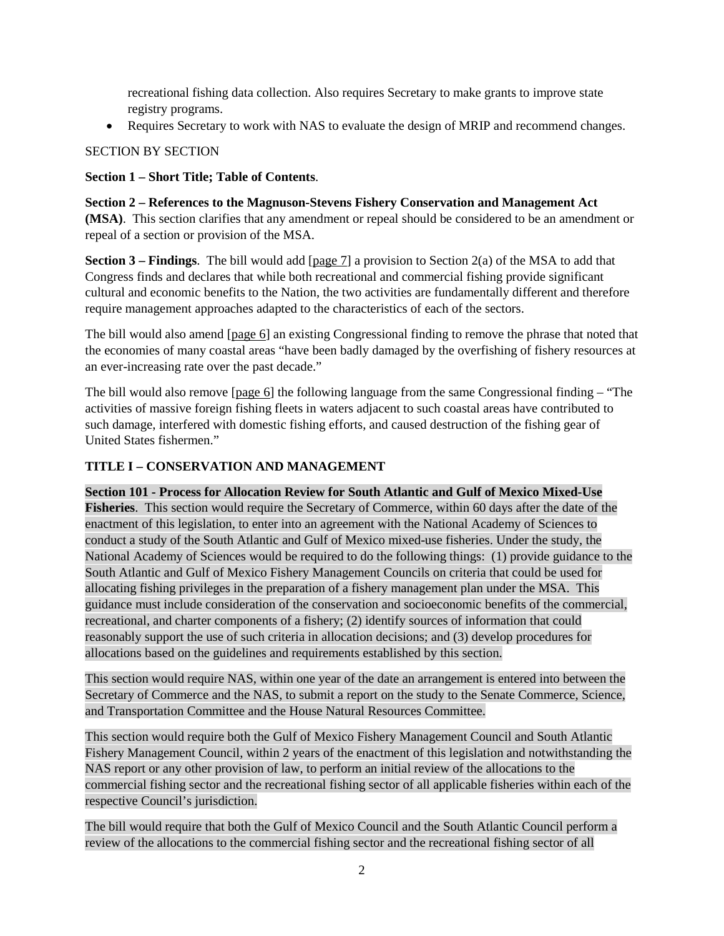recreational fishing data collection. Also requires Secretary to make grants to improve state registry programs.

• Requires Secretary to work with NAS to evaluate the design of MRIP and recommend changes.

# SECTION BY SECTION

# **Section 1 – Short Title; Table of Contents**.

**Section 2 – References to the Magnuson-Stevens Fishery Conservation and Management Act (MSA)**. This section clarifies that any amendment or repeal should be considered to be an amendment or repeal of a section or provision of the MSA.

**Section 3 – Findings**. The bill would add [page 7] a provision to Section 2(a) of the MSA to add that Congress finds and declares that while both recreational and commercial fishing provide significant cultural and economic benefits to the Nation, the two activities are fundamentally different and therefore require management approaches adapted to the characteristics of each of the sectors.

The bill would also amend [page 6] an existing Congressional finding to remove the phrase that noted that the economies of many coastal areas "have been badly damaged by the overfishing of fishery resources at an ever-increasing rate over the past decade."

The bill would also remove [page 6] the following language from the same Congressional finding – "The activities of massive foreign fishing fleets in waters adjacent to such coastal areas have contributed to such damage, interfered with domestic fishing efforts, and caused destruction of the fishing gear of United States fishermen."

# **TITLE I – CONSERVATION AND MANAGEMENT**

### **Section 101 - Process for Allocation Review for South Atlantic and Gulf of Mexico Mixed-Use**

**Fisheries**. This section would require the Secretary of Commerce, within 60 days after the date of the enactment of this legislation, to enter into an agreement with the National Academy of Sciences to conduct a study of the South Atlantic and Gulf of Mexico mixed-use fisheries. Under the study, the National Academy of Sciences would be required to do the following things: (1) provide guidance to the South Atlantic and Gulf of Mexico Fishery Management Councils on criteria that could be used for allocating fishing privileges in the preparation of a fishery management plan under the MSA. This guidance must include consideration of the conservation and socioeconomic benefits of the commercial, recreational, and charter components of a fishery; (2) identify sources of information that could reasonably support the use of such criteria in allocation decisions; and (3) develop procedures for allocations based on the guidelines and requirements established by this section.

This section would require NAS, within one year of the date an arrangement is entered into between the Secretary of Commerce and the NAS, to submit a report on the study to the Senate Commerce, Science, and Transportation Committee and the House Natural Resources Committee.

This section would require both the Gulf of Mexico Fishery Management Council and South Atlantic Fishery Management Council, within 2 years of the enactment of this legislation and notwithstanding the NAS report or any other provision of law, to perform an initial review of the allocations to the commercial fishing sector and the recreational fishing sector of all applicable fisheries within each of the respective Council's jurisdiction.

The bill would require that both the Gulf of Mexico Council and the South Atlantic Council perform a review of the allocations to the commercial fishing sector and the recreational fishing sector of all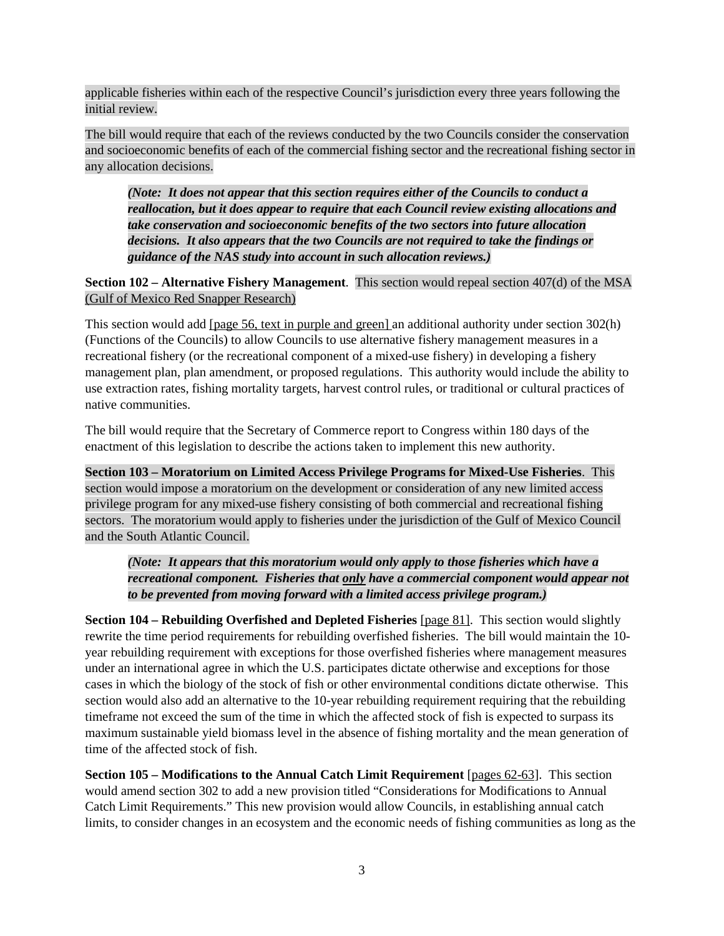applicable fisheries within each of the respective Council's jurisdiction every three years following the initial review.

The bill would require that each of the reviews conducted by the two Councils consider the conservation and socioeconomic benefits of each of the commercial fishing sector and the recreational fishing sector in any allocation decisions.

*(Note: It does not appear that this section requires either of the Councils to conduct a reallocation, but it does appear to require that each Council review existing allocations and take conservation and socioeconomic benefits of the two sectors into future allocation decisions. It also appears that the two Councils are not required to take the findings or guidance of the NAS study into account in such allocation reviews.)*

**Section 102 – Alternative Fishery Management**. This section would repeal section 407(d) of the MSA (Gulf of Mexico Red Snapper Research)

This section would add [page 56, text in purple and green] an additional authority under section 302(h) (Functions of the Councils) to allow Councils to use alternative fishery management measures in a recreational fishery (or the recreational component of a mixed-use fishery) in developing a fishery management plan, plan amendment, or proposed regulations. This authority would include the ability to use extraction rates, fishing mortality targets, harvest control rules, or traditional or cultural practices of native communities.

The bill would require that the Secretary of Commerce report to Congress within 180 days of the enactment of this legislation to describe the actions taken to implement this new authority.

**Section 103 – Moratorium on Limited Access Privilege Programs for Mixed-Use Fisheries**. This section would impose a moratorium on the development or consideration of any new limited access privilege program for any mixed-use fishery consisting of both commercial and recreational fishing sectors. The moratorium would apply to fisheries under the jurisdiction of the Gulf of Mexico Council and the South Atlantic Council.

*(Note: It appears that this moratorium would only apply to those fisheries which have a recreational component. Fisheries that only have a commercial component would appear not to be prevented from moving forward with a limited access privilege program.)*

**Section 104 – Rebuilding Overfished and Depleted Fisheries** [page 81]. This section would slightly rewrite the time period requirements for rebuilding overfished fisheries. The bill would maintain the 10 year rebuilding requirement with exceptions for those overfished fisheries where management measures under an international agree in which the U.S. participates dictate otherwise and exceptions for those cases in which the biology of the stock of fish or other environmental conditions dictate otherwise. This section would also add an alternative to the 10-year rebuilding requirement requiring that the rebuilding timeframe not exceed the sum of the time in which the affected stock of fish is expected to surpass its maximum sustainable yield biomass level in the absence of fishing mortality and the mean generation of time of the affected stock of fish.

**Section 105 – Modifications to the Annual Catch Limit Requirement** [pages 62-63]. This section would amend section 302 to add a new provision titled "Considerations for Modifications to Annual Catch Limit Requirements." This new provision would allow Councils, in establishing annual catch limits, to consider changes in an ecosystem and the economic needs of fishing communities as long as the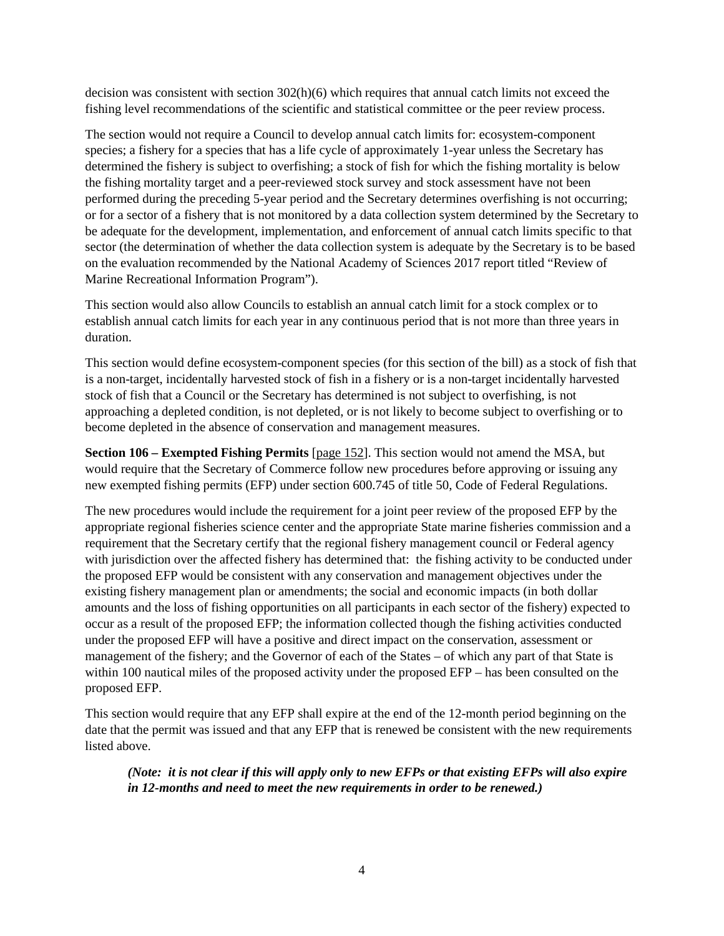decision was consistent with section 302(h)(6) which requires that annual catch limits not exceed the fishing level recommendations of the scientific and statistical committee or the peer review process.

The section would not require a Council to develop annual catch limits for: ecosystem-component species; a fishery for a species that has a life cycle of approximately 1-year unless the Secretary has determined the fishery is subject to overfishing; a stock of fish for which the fishing mortality is below the fishing mortality target and a peer-reviewed stock survey and stock assessment have not been performed during the preceding 5-year period and the Secretary determines overfishing is not occurring; or for a sector of a fishery that is not monitored by a data collection system determined by the Secretary to be adequate for the development, implementation, and enforcement of annual catch limits specific to that sector (the determination of whether the data collection system is adequate by the Secretary is to be based on the evaluation recommended by the National Academy of Sciences 2017 report titled "Review of Marine Recreational Information Program").

This section would also allow Councils to establish an annual catch limit for a stock complex or to establish annual catch limits for each year in any continuous period that is not more than three years in duration.

This section would define ecosystem-component species (for this section of the bill) as a stock of fish that is a non-target, incidentally harvested stock of fish in a fishery or is a non-target incidentally harvested stock of fish that a Council or the Secretary has determined is not subject to overfishing, is not approaching a depleted condition, is not depleted, or is not likely to become subject to overfishing or to become depleted in the absence of conservation and management measures.

**Section 106 – Exempted Fishing Permits** [page 152]. This section would not amend the MSA, but would require that the Secretary of Commerce follow new procedures before approving or issuing any new exempted fishing permits (EFP) under section 600.745 of title 50, Code of Federal Regulations.

The new procedures would include the requirement for a joint peer review of the proposed EFP by the appropriate regional fisheries science center and the appropriate State marine fisheries commission and a requirement that the Secretary certify that the regional fishery management council or Federal agency with jurisdiction over the affected fishery has determined that: the fishing activity to be conducted under the proposed EFP would be consistent with any conservation and management objectives under the existing fishery management plan or amendments; the social and economic impacts (in both dollar amounts and the loss of fishing opportunities on all participants in each sector of the fishery) expected to occur as a result of the proposed EFP; the information collected though the fishing activities conducted under the proposed EFP will have a positive and direct impact on the conservation, assessment or management of the fishery; and the Governor of each of the States – of which any part of that State is within 100 nautical miles of the proposed activity under the proposed EFP – has been consulted on the proposed EFP.

This section would require that any EFP shall expire at the end of the 12-month period beginning on the date that the permit was issued and that any EFP that is renewed be consistent with the new requirements listed above.

*(Note: it is not clear if this will apply only to new EFPs or that existing EFPs will also expire in 12-months and need to meet the new requirements in order to be renewed.)*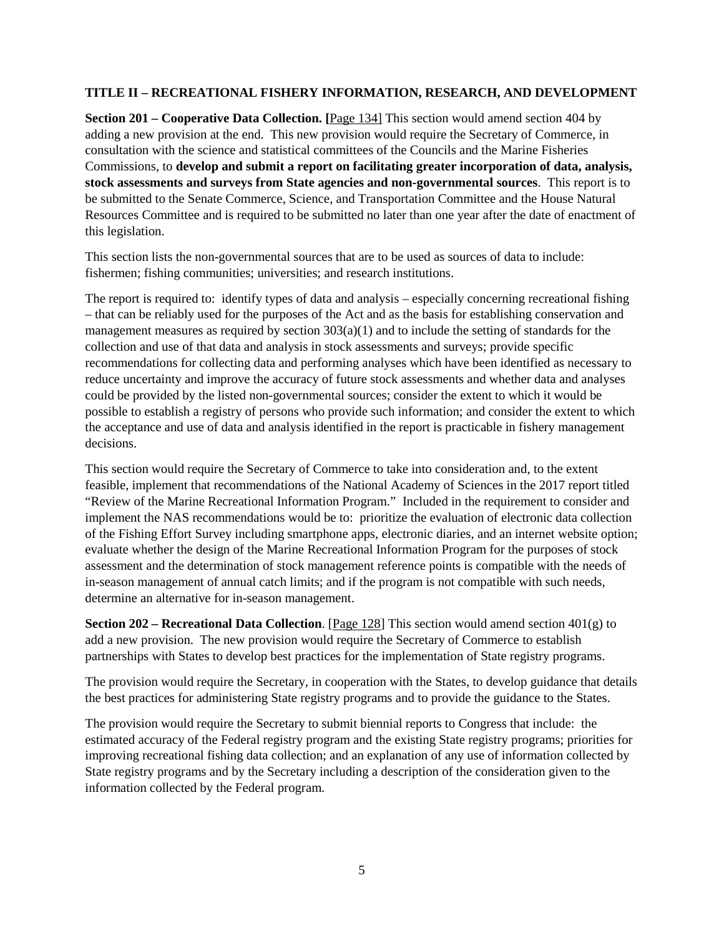#### **TITLE II – RECREATIONAL FISHERY INFORMATION, RESEARCH, AND DEVELOPMENT**

**Section 201 – Cooperative Data Collection. [**Page 134] This section would amend section 404 by adding a new provision at the end. This new provision would require the Secretary of Commerce, in consultation with the science and statistical committees of the Councils and the Marine Fisheries Commissions, to **develop and submit a report on facilitating greater incorporation of data, analysis, stock assessments and surveys from State agencies and non-governmental sources**. This report is to be submitted to the Senate Commerce, Science, and Transportation Committee and the House Natural Resources Committee and is required to be submitted no later than one year after the date of enactment of this legislation.

This section lists the non-governmental sources that are to be used as sources of data to include: fishermen; fishing communities; universities; and research institutions.

The report is required to: identify types of data and analysis – especially concerning recreational fishing – that can be reliably used for the purposes of the Act and as the basis for establishing conservation and management measures as required by section  $303(a)(1)$  and to include the setting of standards for the collection and use of that data and analysis in stock assessments and surveys; provide specific recommendations for collecting data and performing analyses which have been identified as necessary to reduce uncertainty and improve the accuracy of future stock assessments and whether data and analyses could be provided by the listed non-governmental sources; consider the extent to which it would be possible to establish a registry of persons who provide such information; and consider the extent to which the acceptance and use of data and analysis identified in the report is practicable in fishery management decisions.

This section would require the Secretary of Commerce to take into consideration and, to the extent feasible, implement that recommendations of the National Academy of Sciences in the 2017 report titled "Review of the Marine Recreational Information Program." Included in the requirement to consider and implement the NAS recommendations would be to: prioritize the evaluation of electronic data collection of the Fishing Effort Survey including smartphone apps, electronic diaries, and an internet website option; evaluate whether the design of the Marine Recreational Information Program for the purposes of stock assessment and the determination of stock management reference points is compatible with the needs of in-season management of annual catch limits; and if the program is not compatible with such needs, determine an alternative for in-season management.

**Section 202 – Recreational Data Collection**. [Page 128] This section would amend section 401(g) to add a new provision. The new provision would require the Secretary of Commerce to establish partnerships with States to develop best practices for the implementation of State registry programs.

The provision would require the Secretary, in cooperation with the States, to develop guidance that details the best practices for administering State registry programs and to provide the guidance to the States.

The provision would require the Secretary to submit biennial reports to Congress that include: the estimated accuracy of the Federal registry program and the existing State registry programs; priorities for improving recreational fishing data collection; and an explanation of any use of information collected by State registry programs and by the Secretary including a description of the consideration given to the information collected by the Federal program.